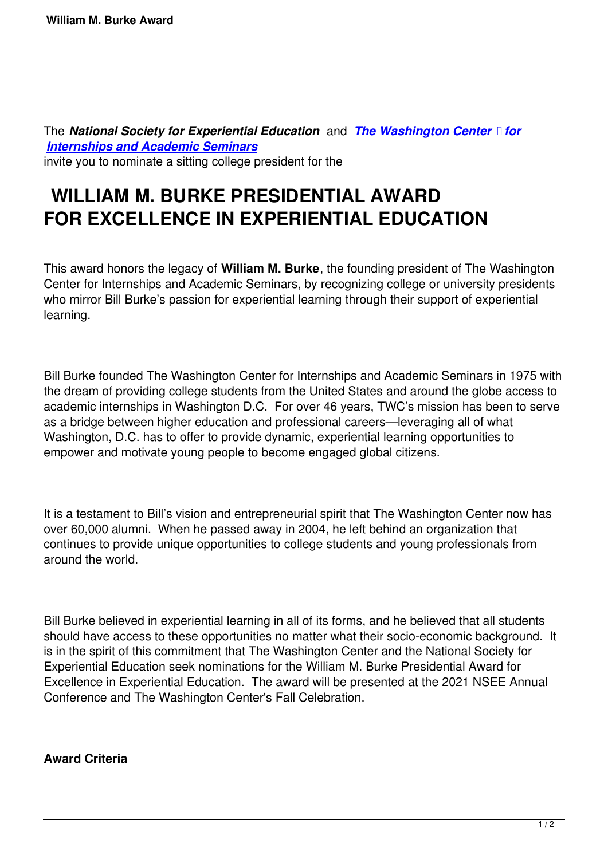The *National Society for Experiential Education* and *The Washington Center for Internships and Academic Seminars* invite you to nominate a sitting college president for the

## **[WILLIAM M. BURKE PRE](https://twc.edu/)SIDENTI[AL AWARD](https://twc.edu/) FOR EXCELLENCE IN EXPERIENTIAL EDUCATION**

This award honors the legacy of **William M. Burke**, the founding president of The Washington Center for Internships and Academic Seminars, by recognizing college or university presidents who mirror Bill Burke's passion for experiential learning through their support of experiential learning.

Bill Burke founded The Washington Center for Internships and Academic Seminars in 1975 with the dream of providing college students from the United States and around the globe access to academic internships in Washington D.C. For over 46 years, TWC's mission has been to serve as a bridge between higher education and professional careers—leveraging all of what Washington, D.C. has to offer to provide dynamic, experiential learning opportunities to empower and motivate young people to become engaged global citizens.

It is a testament to Bill's vision and entrepreneurial spirit that The Washington Center now has over 60,000 alumni. When he passed away in 2004, he left behind an organization that continues to provide unique opportunities to college students and young professionals from around the world.

Bill Burke believed in experiential learning in all of its forms, and he believed that all students should have access to these opportunities no matter what their socio-economic background. It is in the spirit of this commitment that The Washington Center and the National Society for Experiential Education seek nominations for the William M. Burke Presidential Award for Excellence in Experiential Education. The award will be presented at the 2021 NSEE Annual Conference and The Washington Center's Fall Celebration.

## **Award Criteria**